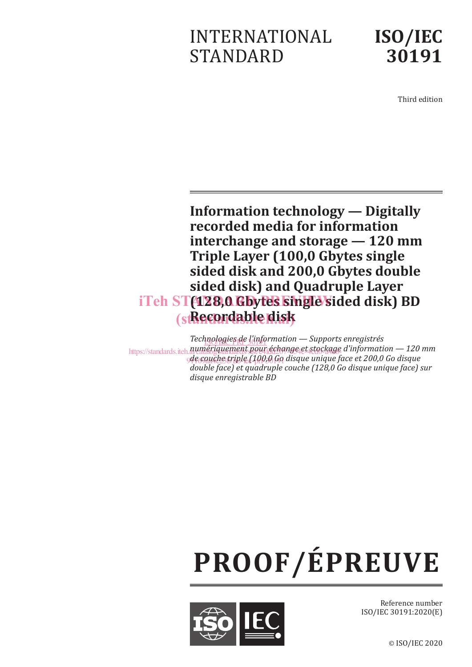# INTERNATIONAL STANDARD



Third edition

**Information technology — Digitally recorded media for information interchange and storage — 120 mm Triple Layer (100,0 Gbytes single sided disk and 200,0 Gbytes double sided disk) and Quadruple Layer**  iTeh ST(128,0 Gbytes single sided disk) BD (st**Recordable disk** 

*Technologies de l'information* — Supports enregistrés https://standards.iteh.*a*jumériquement.pour échange et stockage d'information — 120 mm de couche triple (100,0 Go disque unique face et 200,0 Go disque *double face) et quadruple couche (128,0 Go disque unique face) sur disque enregistrable BD*

# **PROOF/ÉPREUVE**



Reference number ISO/IEC 30191:2020(E)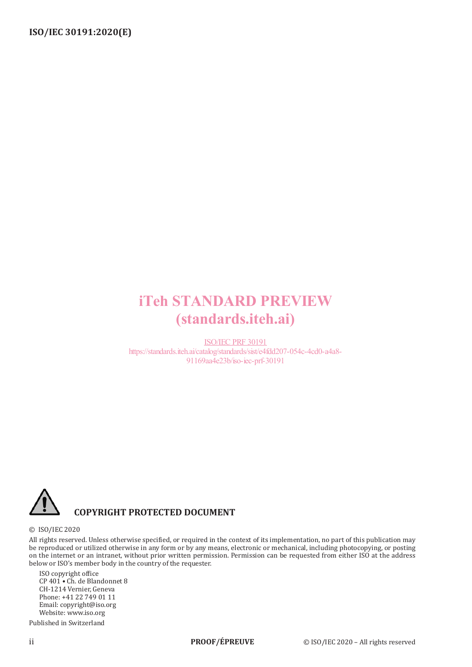# iTeh STANDARD PREVIEW (standards.iteh.ai)

ISO/IEC PRF 30191 https://standards.iteh.ai/catalog/standards/sist/e4fdd207-054c-4cd0-a4a8- 91169aa4e23b/iso-iec-prf-30191



## **COPYRIGHT PROTECTED DOCUMENT**

#### © ISO/IEC 2020

All rights reserved. Unless otherwise specified, or required in the context of its implementation, no part of this publication may be reproduced or utilized otherwise in any form or by any means, electronic or mechanical, including photocopying, or posting on the internet or an intranet, without prior written permission. Permission can be requested from either ISO at the address below or ISO's member body in the country of the requester.

ISO copyright office CP 401 • Ch. de Blandonnet 8 CH-1214 Vernier, Geneva Phone: +41 22 749 01 11 Email: copyright@iso.org Website: www.iso.org Published in Switzerland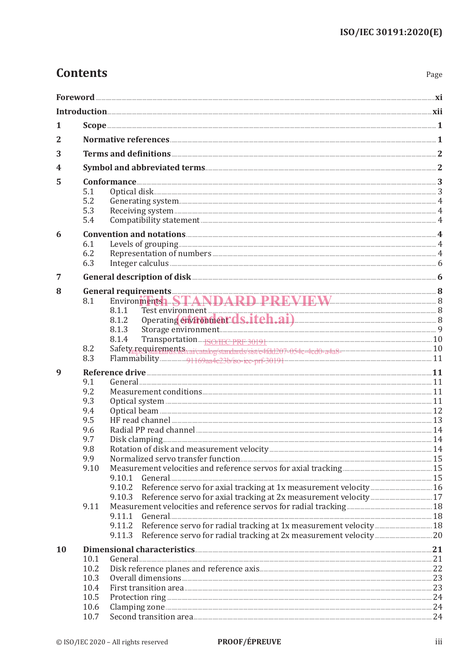Page

| 1         |                 |                                             |     |  |  |  |
|-----------|-----------------|---------------------------------------------|-----|--|--|--|
| 2         |                 |                                             |     |  |  |  |
| 3         |                 | Terms and definitions <b>Exercise 2</b>     |     |  |  |  |
| 4         |                 |                                             |     |  |  |  |
| 5         | $Conformance 3$ |                                             |     |  |  |  |
|           | 5.1             | Optical disk 3                              |     |  |  |  |
|           | 5.2             |                                             |     |  |  |  |
|           | 5.3             |                                             |     |  |  |  |
|           | 5.4             |                                             |     |  |  |  |
| 6         |                 | Convention and notations <b>Execution</b> 4 |     |  |  |  |
|           | 6.1             |                                             |     |  |  |  |
|           | 6.2             |                                             |     |  |  |  |
|           | 6.3             |                                             |     |  |  |  |
| 7         |                 |                                             |     |  |  |  |
| 8         |                 | General requirements 38                     |     |  |  |  |
|           | 8.1             | Environments STANDARD PREVIEW               |     |  |  |  |
|           |                 | 8.1.1                                       |     |  |  |  |
|           |                 | Operating environment C.S.itch.ai)<br>8.1.2 |     |  |  |  |
|           |                 | 8.1.3                                       |     |  |  |  |
|           |                 | 8.1.4                                       |     |  |  |  |
|           | 8.2             |                                             |     |  |  |  |
|           | 8.3             |                                             |     |  |  |  |
| 9         |                 |                                             |     |  |  |  |
|           | 9.1<br>9.2      |                                             |     |  |  |  |
|           | 9.3             |                                             |     |  |  |  |
|           | 9.4             |                                             |     |  |  |  |
|           | 9.5             |                                             |     |  |  |  |
|           | 9.6             |                                             |     |  |  |  |
|           | 9.7             |                                             |     |  |  |  |
|           | 9.8             |                                             |     |  |  |  |
|           | 9.9             |                                             |     |  |  |  |
|           | 9.10            |                                             |     |  |  |  |
|           |                 | 9.10.1                                      |     |  |  |  |
|           |                 | 9.10.2                                      |     |  |  |  |
|           |                 | 9.10.3                                      |     |  |  |  |
|           | 9.11            |                                             |     |  |  |  |
|           |                 | 9.11.1                                      |     |  |  |  |
|           |                 | 9.11.2<br>9.11.3                            |     |  |  |  |
|           |                 |                                             |     |  |  |  |
| <b>10</b> | 10.1            |                                             | .21 |  |  |  |
|           | 10.2            |                                             |     |  |  |  |
|           | 10.3            |                                             |     |  |  |  |
|           | 10.4            |                                             |     |  |  |  |
|           | 10.5            |                                             |     |  |  |  |
|           | 10.6            |                                             |     |  |  |  |
|           | 10.7            |                                             |     |  |  |  |

 $\textbf{For} \textbf{word} \textit{ \textbf{........} \textbf{........} \textbf{........} \textbf{........} \textbf{........} \textbf{........} \textbf{........} \textbf{........} \textbf{........} \textbf{........} \textbf{........} \textbf{...} \textbf{........} \textbf{...} \textbf{........} \textbf{...} \textbf{...} \textbf{........} \textbf{...} \textbf{...} \textbf{...} \textbf{...} \textbf{...} \textbf{...} \textbf{...} \textbf{...} \textbf{...} \textbf{...} \textbf{...} \textbf{...} \textbf{...} \textbf{...} \textbf{...} \textbf{...}$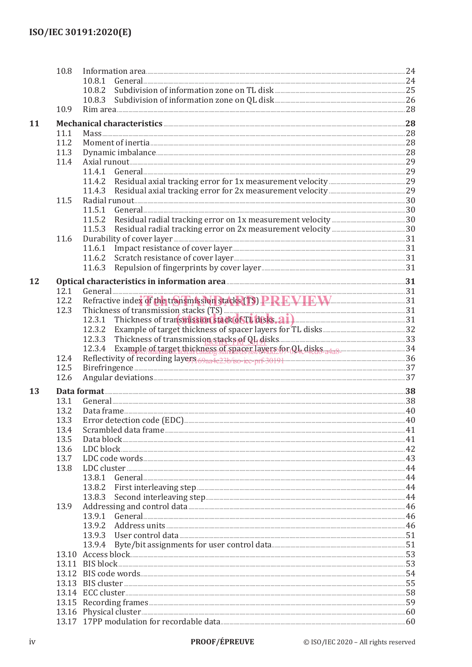|    | 10.8 |                                                                        |  |
|----|------|------------------------------------------------------------------------|--|
|    |      | 10.8.1                                                                 |  |
|    |      |                                                                        |  |
|    |      |                                                                        |  |
|    | 10.9 |                                                                        |  |
| 11 |      | Mechanical characteristics 28 28                                       |  |
|    | 11.1 |                                                                        |  |
|    | 11.2 |                                                                        |  |
|    | 11.3 |                                                                        |  |
|    | 11.4 |                                                                        |  |
|    |      |                                                                        |  |
|    |      |                                                                        |  |
|    |      |                                                                        |  |
|    | 11.5 |                                                                        |  |
|    |      |                                                                        |  |
|    |      |                                                                        |  |
|    |      | 11.5.3                                                                 |  |
|    | 11.6 |                                                                        |  |
|    |      |                                                                        |  |
|    |      |                                                                        |  |
|    |      | 11.6.3                                                                 |  |
|    |      |                                                                        |  |
| 12 |      | Optical characteristics in information area <b>Entitation</b> 21       |  |
|    | 12.1 | General 21 31                                                          |  |
|    | 12.2 | Refractive index of the transmission stacks (TS) PREVIEW EW            |  |
|    | 12.3 | Thickness of transmission stacks (TS)                                  |  |
|    |      | 12.3.1 Thickness of transitission stack of TL disks. a1)               |  |
|    |      |                                                                        |  |
|    |      |                                                                        |  |
|    |      | 12.3.4 Example of target thickness of spacer layers for QL disks 3438. |  |
|    | 12.4 | Reflectivity of recording layers 69aa4e23b/so-iec-prf-30191            |  |
|    | 12.5 |                                                                        |  |
|    | 12.6 |                                                                        |  |
| 13 |      |                                                                        |  |
|    | 13.1 |                                                                        |  |
|    | 13.2 |                                                                        |  |
|    | 13.3 |                                                                        |  |
|    | 13.4 |                                                                        |  |
|    | 13.5 |                                                                        |  |
|    | 13.6 |                                                                        |  |
|    | 13.7 |                                                                        |  |
|    | 13.8 |                                                                        |  |
|    |      | 13.8.1                                                                 |  |
|    |      | 13.8.2                                                                 |  |
|    |      | 13.8.3                                                                 |  |
|    | 13.9 |                                                                        |  |
|    |      | 13.9.1                                                                 |  |
|    |      | 13.9.2                                                                 |  |
|    |      | 13.9.3                                                                 |  |
|    |      | 13.9.4                                                                 |  |
|    |      |                                                                        |  |
|    |      |                                                                        |  |
|    |      |                                                                        |  |
|    |      |                                                                        |  |
|    |      |                                                                        |  |
|    |      |                                                                        |  |
|    |      |                                                                        |  |
|    |      |                                                                        |  |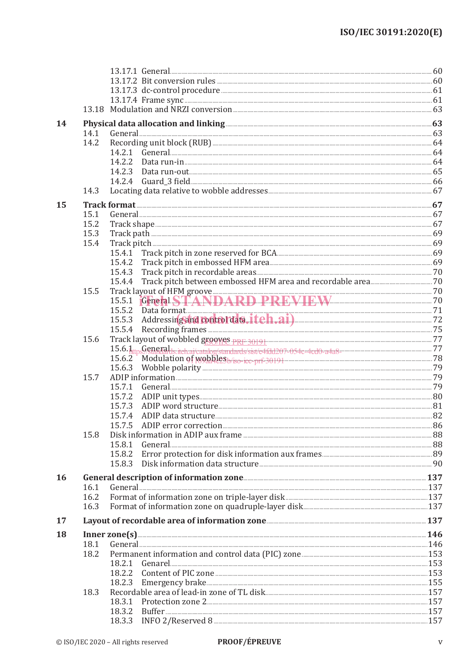|    |      | 13.17.2 Bit conversion rules <b>CONSTANDING CONSTRUCT</b>                                                                                                                                                                      |  |
|----|------|--------------------------------------------------------------------------------------------------------------------------------------------------------------------------------------------------------------------------------|--|
|    |      |                                                                                                                                                                                                                                |  |
|    |      |                                                                                                                                                                                                                                |  |
|    |      |                                                                                                                                                                                                                                |  |
|    |      |                                                                                                                                                                                                                                |  |
| 14 |      | Physical data allocation and linking <b>Exercise Allocation</b> 63                                                                                                                                                             |  |
|    | 14.1 |                                                                                                                                                                                                                                |  |
|    | 14.2 |                                                                                                                                                                                                                                |  |
|    |      | 14.2.1                                                                                                                                                                                                                         |  |
|    |      | 14.2.2                                                                                                                                                                                                                         |  |
|    |      | 14.2.3                                                                                                                                                                                                                         |  |
|    |      |                                                                                                                                                                                                                                |  |
|    | 14.3 |                                                                                                                                                                                                                                |  |
| 15 |      |                                                                                                                                                                                                                                |  |
|    | 15.1 |                                                                                                                                                                                                                                |  |
|    | 15.2 |                                                                                                                                                                                                                                |  |
|    | 15.3 |                                                                                                                                                                                                                                |  |
|    | 15.4 |                                                                                                                                                                                                                                |  |
|    |      |                                                                                                                                                                                                                                |  |
|    |      |                                                                                                                                                                                                                                |  |
|    |      | 15.4.3                                                                                                                                                                                                                         |  |
|    |      | 15.4.4                                                                                                                                                                                                                         |  |
|    | 15.5 |                                                                                                                                                                                                                                |  |
|    |      |                                                                                                                                                                                                                                |  |
|    |      |                                                                                                                                                                                                                                |  |
|    |      | Data format 71<br>Addressing and <b>tooltol data, itch.ai</b> ) 72<br>15.5.2                                                                                                                                                   |  |
|    |      | 15.5.3<br>15.5.4                                                                                                                                                                                                               |  |
|    |      |                                                                                                                                                                                                                                |  |
|    | 15.6 |                                                                                                                                                                                                                                |  |
|    |      |                                                                                                                                                                                                                                |  |
|    |      | 15.6.2 Modulation of Mobiles b/iso-iec-prf-30191                                                                                                                                                                               |  |
|    |      | 15.6.3                                                                                                                                                                                                                         |  |
|    | 15.7 |                                                                                                                                                                                                                                |  |
|    |      | General 29<br>15.7.1                                                                                                                                                                                                           |  |
|    |      | 15.7.2                                                                                                                                                                                                                         |  |
|    |      | 15.7.3                                                                                                                                                                                                                         |  |
|    |      | 15.7.4                                                                                                                                                                                                                         |  |
|    |      |                                                                                                                                                                                                                                |  |
|    | 15.8 | Disk information in ADIP aux frame <b>Example 2018</b> 2014 2015 2016                                                                                                                                                          |  |
|    |      | 15.8.1                                                                                                                                                                                                                         |  |
|    |      | 15.8.2                                                                                                                                                                                                                         |  |
|    |      | 15.8.3                                                                                                                                                                                                                         |  |
| 16 |      |                                                                                                                                                                                                                                |  |
|    | 16.1 | General 237 Constant Communication (Separate Communication of the Communication of the Communication of the Communication of the Communication of the Communication of the Communication of the Communication of the Communica |  |
|    | 16.2 |                                                                                                                                                                                                                                |  |
|    | 16.3 |                                                                                                                                                                                                                                |  |
|    |      |                                                                                                                                                                                                                                |  |
| 17 |      | Layout of recordable area of information zone <b>Manual Equation</b> 2010 137                                                                                                                                                  |  |
| 18 |      |                                                                                                                                                                                                                                |  |
|    | 18.1 | General 246                                                                                                                                                                                                                    |  |
|    | 18.2 |                                                                                                                                                                                                                                |  |
|    |      | 18.2.1                                                                                                                                                                                                                         |  |
|    |      |                                                                                                                                                                                                                                |  |
|    |      | 18.2.3                                                                                                                                                                                                                         |  |
|    | 18.3 |                                                                                                                                                                                                                                |  |
|    |      | Protection zone 2. 2008 157<br>18.3.1                                                                                                                                                                                          |  |
|    |      | 18.3.2                                                                                                                                                                                                                         |  |
|    |      |                                                                                                                                                                                                                                |  |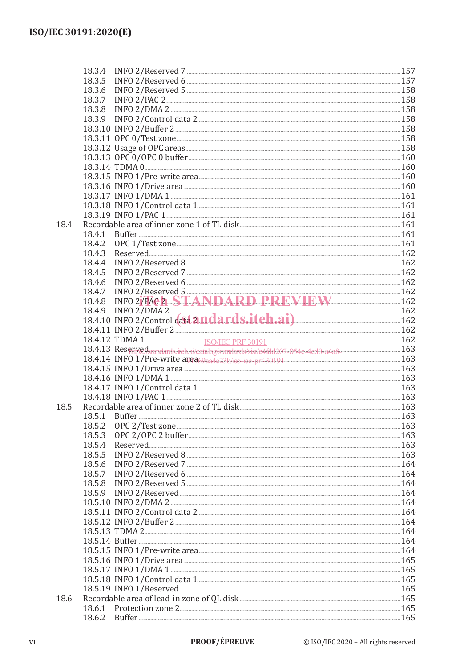|      | 18.3.4                                                                                                                                                                                                                         |  |
|------|--------------------------------------------------------------------------------------------------------------------------------------------------------------------------------------------------------------------------------|--|
|      | 18.3.5                                                                                                                                                                                                                         |  |
|      | 18.3.6                                                                                                                                                                                                                         |  |
|      | 18.3.7                                                                                                                                                                                                                         |  |
|      | 18.3.8                                                                                                                                                                                                                         |  |
|      | 18.3.9                                                                                                                                                                                                                         |  |
|      |                                                                                                                                                                                                                                |  |
|      |                                                                                                                                                                                                                                |  |
|      |                                                                                                                                                                                                                                |  |
|      | 160 18.3.13 OPC 0/OPC 0 buffer 3.0 200 160 160                                                                                                                                                                                 |  |
|      |                                                                                                                                                                                                                                |  |
|      |                                                                                                                                                                                                                                |  |
|      | 160 mHz 160 mHz 160 mHz 160 mm in the creation of the content of the content of the content of the content of the content of the content of the content of the content of the content of the content of the content of the con |  |
|      | 161 18.3.17 INFO 1/DMA 1                                                                                                                                                                                                       |  |
|      |                                                                                                                                                                                                                                |  |
|      | 161 THEO 1/PAC 1                                                                                                                                                                                                               |  |
| 18.4 |                                                                                                                                                                                                                                |  |
|      | 18.4.1                                                                                                                                                                                                                         |  |
|      | 18.4.2                                                                                                                                                                                                                         |  |
|      | 18.4.3                                                                                                                                                                                                                         |  |
|      | 18.4.4                                                                                                                                                                                                                         |  |
|      |                                                                                                                                                                                                                                |  |
|      | 18.4.5<br>18.4.6                                                                                                                                                                                                               |  |
|      |                                                                                                                                                                                                                                |  |
|      | INFO 2/Reserved 5<br>INFO 2/FAC 2. STANDARD PREVIEW 162<br>18.4.7                                                                                                                                                              |  |
|      | 18.4.8                                                                                                                                                                                                                         |  |
|      | 18.4.9 INFO 2/DMA 2 18.4.10 INFO 2/Control data 2 <b>nd ards.itch.ai</b> ) 162                                                                                                                                                 |  |
|      |                                                                                                                                                                                                                                |  |
|      |                                                                                                                                                                                                                                |  |
|      |                                                                                                                                                                                                                                |  |
|      | 163 Reserved standards itch ai/catalog/standards/sist/c4fdd207-054c-4cd0-a4a8-                                                                                                                                                 |  |
|      |                                                                                                                                                                                                                                |  |
|      |                                                                                                                                                                                                                                |  |
|      |                                                                                                                                                                                                                                |  |
|      | 163 18.4.17 INFO 1/Control data 1                                                                                                                                                                                              |  |
|      |                                                                                                                                                                                                                                |  |
| 18.5 |                                                                                                                                                                                                                                |  |
|      |                                                                                                                                                                                                                                |  |
|      | 18.5.2                                                                                                                                                                                                                         |  |
|      | 18.5.3                                                                                                                                                                                                                         |  |
|      | 18.5.4                                                                                                                                                                                                                         |  |
|      | 18.5.5                                                                                                                                                                                                                         |  |
|      | 18.5.6                                                                                                                                                                                                                         |  |
|      | 18.5.7                                                                                                                                                                                                                         |  |
|      | 18.5.8                                                                                                                                                                                                                         |  |
|      |                                                                                                                                                                                                                                |  |
|      | 164 meta 164 meta 200 m 200 m 200 m 364 m 365.10 m 364 m 365.10 m 364 m 364 m 364 m 364 m 364 m 364 m 364 m 364                                                                                                                |  |
|      |                                                                                                                                                                                                                                |  |
|      |                                                                                                                                                                                                                                |  |
|      |                                                                                                                                                                                                                                |  |
|      | 164 meters and the set of the set of the set of the set of the set of the set of the set of the set of the set of the set of the set of the set of the set of the set of the set of the set of the set of the set of the set o |  |
|      |                                                                                                                                                                                                                                |  |
|      |                                                                                                                                                                                                                                |  |
|      |                                                                                                                                                                                                                                |  |
|      |                                                                                                                                                                                                                                |  |
|      |                                                                                                                                                                                                                                |  |
| 18.6 |                                                                                                                                                                                                                                |  |
|      |                                                                                                                                                                                                                                |  |
|      | 165 meter manuscript of the series of the series of the series of the series of the series of the series of the series of the series of the series of the series of the series of the series of the series of the series of th |  |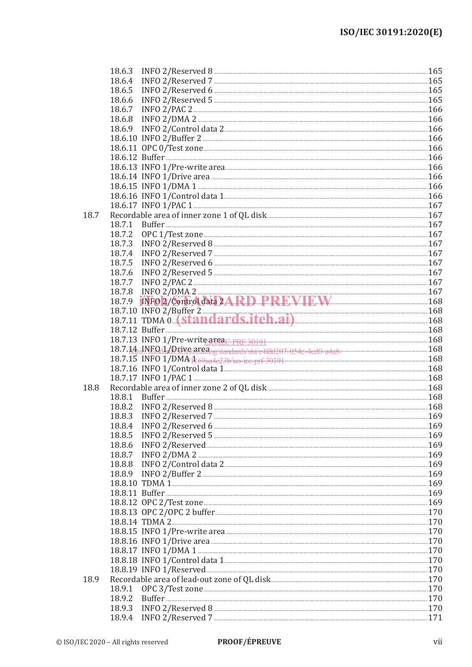|      | 18.6.3 |                                                                                                                                                                                                                                |  |
|------|--------|--------------------------------------------------------------------------------------------------------------------------------------------------------------------------------------------------------------------------------|--|
|      | 18.6.4 |                                                                                                                                                                                                                                |  |
|      | 18.6.5 |                                                                                                                                                                                                                                |  |
|      | 18.6.6 |                                                                                                                                                                                                                                |  |
|      | 18.6.7 |                                                                                                                                                                                                                                |  |
|      | 18.6.8 |                                                                                                                                                                                                                                |  |
|      |        |                                                                                                                                                                                                                                |  |
|      |        |                                                                                                                                                                                                                                |  |
|      |        |                                                                                                                                                                                                                                |  |
|      |        |                                                                                                                                                                                                                                |  |
|      |        |                                                                                                                                                                                                                                |  |
|      |        | 18.6.14 INFO 1/Drive area <b>Manual According to the COVID-160</b> 166                                                                                                                                                         |  |
|      |        |                                                                                                                                                                                                                                |  |
|      |        |                                                                                                                                                                                                                                |  |
|      |        | 167 18.6.17 INFO 1/PAC 1                                                                                                                                                                                                       |  |
| 18.7 |        |                                                                                                                                                                                                                                |  |
|      | 18.7.1 |                                                                                                                                                                                                                                |  |
|      | 18.7.2 |                                                                                                                                                                                                                                |  |
|      | 18.7.3 |                                                                                                                                                                                                                                |  |
|      | 18.7.4 |                                                                                                                                                                                                                                |  |
|      | 18.7.5 |                                                                                                                                                                                                                                |  |
|      |        |                                                                                                                                                                                                                                |  |
|      | 18.7.6 |                                                                                                                                                                                                                                |  |
|      | 18.7.7 |                                                                                                                                                                                                                                |  |
|      | 18.7.8 | INFO 2/DMA 2 167                                                                                                                                                                                                               |  |
|      | 18.7.9 |                                                                                                                                                                                                                                |  |
|      |        | 18.7.10 INFO 2/Buffer 2<br>168<br>18.7.11 TDMA 0. <b>Standards.iteh.ai</b> ) 168                                                                                                                                               |  |
|      |        |                                                                                                                                                                                                                                |  |
|      |        |                                                                                                                                                                                                                                |  |
|      |        |                                                                                                                                                                                                                                |  |
|      |        |                                                                                                                                                                                                                                |  |
|      |        |                                                                                                                                                                                                                                |  |
|      |        |                                                                                                                                                                                                                                |  |
|      |        |                                                                                                                                                                                                                                |  |
| 18.8 |        |                                                                                                                                                                                                                                |  |
|      | 18.8.1 |                                                                                                                                                                                                                                |  |
|      | 18.8.2 |                                                                                                                                                                                                                                |  |
|      |        |                                                                                                                                                                                                                                |  |
|      | 18.8.4 |                                                                                                                                                                                                                                |  |
|      | 18.8.5 |                                                                                                                                                                                                                                |  |
|      | 18.8.6 |                                                                                                                                                                                                                                |  |
|      | 18.8.7 |                                                                                                                                                                                                                                |  |
|      | 18.8.8 |                                                                                                                                                                                                                                |  |
|      | 18.8.9 |                                                                                                                                                                                                                                |  |
|      |        | 169 metabolismus 169 metabolismus 169 metabolismus 169 metabolismus 169 metabolismus 169 metabolismus 169                                                                                                                      |  |
|      |        | 169 meters and the contract of the contract of the contract of the contract of the contract of the contract of the contract of the contract of the contract of the contract of the contract of the contract of the contract of |  |
|      |        |                                                                                                                                                                                                                                |  |
|      |        |                                                                                                                                                                                                                                |  |
|      |        |                                                                                                                                                                                                                                |  |
|      |        |                                                                                                                                                                                                                                |  |
|      |        |                                                                                                                                                                                                                                |  |
|      |        |                                                                                                                                                                                                                                |  |
|      |        |                                                                                                                                                                                                                                |  |
|      |        |                                                                                                                                                                                                                                |  |
|      |        |                                                                                                                                                                                                                                |  |
| 18.9 |        |                                                                                                                                                                                                                                |  |
|      | 18.9.1 |                                                                                                                                                                                                                                |  |
|      | 18.9.2 |                                                                                                                                                                                                                                |  |
|      | 18.9.3 |                                                                                                                                                                                                                                |  |
|      |        |                                                                                                                                                                                                                                |  |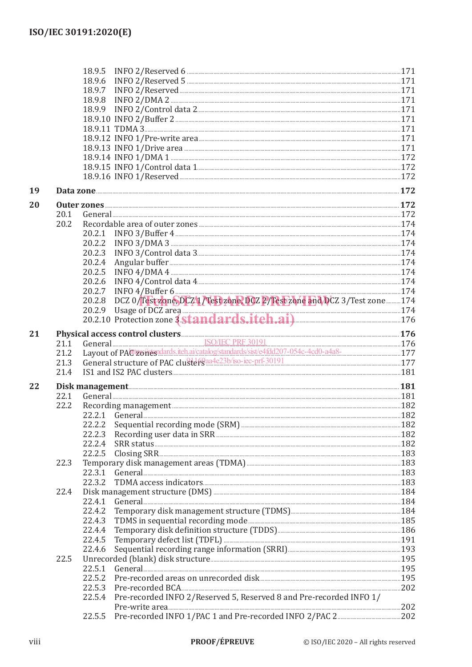|    |      | 18.9.5                                                                                                                                                                                                                                  |  |
|----|------|-----------------------------------------------------------------------------------------------------------------------------------------------------------------------------------------------------------------------------------------|--|
|    |      | 18.9.6                                                                                                                                                                                                                                  |  |
|    |      | 18.9.7                                                                                                                                                                                                                                  |  |
|    |      | 18.9.8                                                                                                                                                                                                                                  |  |
|    |      | 18.9.9                                                                                                                                                                                                                                  |  |
|    |      |                                                                                                                                                                                                                                         |  |
|    |      |                                                                                                                                                                                                                                         |  |
|    |      |                                                                                                                                                                                                                                         |  |
|    |      |                                                                                                                                                                                                                                         |  |
|    |      |                                                                                                                                                                                                                                         |  |
|    |      |                                                                                                                                                                                                                                         |  |
|    |      |                                                                                                                                                                                                                                         |  |
| 19 |      | Data zone <u>2008 alta zone alta zone alta zone alta zone alta zone alta zone alta zone alta zone alta zone alta zone alta zone alta zone alta zone alta zone alta zone alta zone alta zone alta zone alta zone alta zone alta z</u>    |  |
| 20 |      |                                                                                                                                                                                                                                         |  |
|    | 20.1 |                                                                                                                                                                                                                                         |  |
|    | 20.2 |                                                                                                                                                                                                                                         |  |
|    |      | 20.2.1                                                                                                                                                                                                                                  |  |
|    |      | 20.2.2                                                                                                                                                                                                                                  |  |
|    |      | 20.2.3                                                                                                                                                                                                                                  |  |
|    |      | 20.2.4                                                                                                                                                                                                                                  |  |
|    |      | 20.2.5                                                                                                                                                                                                                                  |  |
|    |      | 20.2.6                                                                                                                                                                                                                                  |  |
|    |      | 20.2.7                                                                                                                                                                                                                                  |  |
|    |      | DCZ 0/Test zone, DCZ 1/Test zone, DCZ 2/Test zone and DCZ 3/Test zone  174<br>20.2.8                                                                                                                                                    |  |
|    |      | 20.2.9 Usage of DCZ area 174<br>20.2.10 Protection zone 3 Standards.itch.ai) 176                                                                                                                                                        |  |
|    |      |                                                                                                                                                                                                                                         |  |
| 21 |      | Physical access control clusters<br>21.1 General SO/IEC PRF 30191<br>21.2 Layout of PACtroines dates it hai/catalog/standards/sist/e4fdd207-054c-4cd0-a4a8-<br>21.2 Layout of PACtroines data it hai/catalog/standards/sist/e4fdd207-05 |  |
|    |      |                                                                                                                                                                                                                                         |  |
|    |      |                                                                                                                                                                                                                                         |  |
|    | 21.3 | General structure of PAC clusters aa4e23b/iso-iec-prf-30191 manufacture and 177                                                                                                                                                         |  |
|    | 21.4 |                                                                                                                                                                                                                                         |  |
| 22 |      |                                                                                                                                                                                                                                         |  |
|    | 22.1 | General 281 181                                                                                                                                                                                                                         |  |
|    | 22.2 |                                                                                                                                                                                                                                         |  |
|    |      | 22.2.1 General 182                                                                                                                                                                                                                      |  |
|    |      | 22.2.2                                                                                                                                                                                                                                  |  |
|    |      | Recording user data in SRR [187] 182<br>22.2.3                                                                                                                                                                                          |  |
|    |      | 22.2.4                                                                                                                                                                                                                                  |  |
|    |      | 22.2.5<br>$\frac{183}{160}$                                                                                                                                                                                                             |  |
|    | 22.3 |                                                                                                                                                                                                                                         |  |
|    |      | 22.3.1                                                                                                                                                                                                                                  |  |
|    |      | 22.3.2                                                                                                                                                                                                                                  |  |
|    | 22.4 |                                                                                                                                                                                                                                         |  |
|    |      | 22.4.1                                                                                                                                                                                                                                  |  |
|    |      | 22.4.2                                                                                                                                                                                                                                  |  |
|    |      | 22.4.3                                                                                                                                                                                                                                  |  |
|    |      | 22.4.4                                                                                                                                                                                                                                  |  |
|    |      | 22.4.5                                                                                                                                                                                                                                  |  |
|    |      | 22.4.6                                                                                                                                                                                                                                  |  |
|    | 22.5 |                                                                                                                                                                                                                                         |  |
|    |      | 22.5.1                                                                                                                                                                                                                                  |  |
|    |      | 22.5.2                                                                                                                                                                                                                                  |  |
|    |      | 22.5.3                                                                                                                                                                                                                                  |  |
|    |      | Pre-recorded INFO 2/Reserved 5, Reserved 8 and Pre-recorded INFO 1/<br>22.5.4                                                                                                                                                           |  |
|    |      | 22.5.5                                                                                                                                                                                                                                  |  |
|    |      |                                                                                                                                                                                                                                         |  |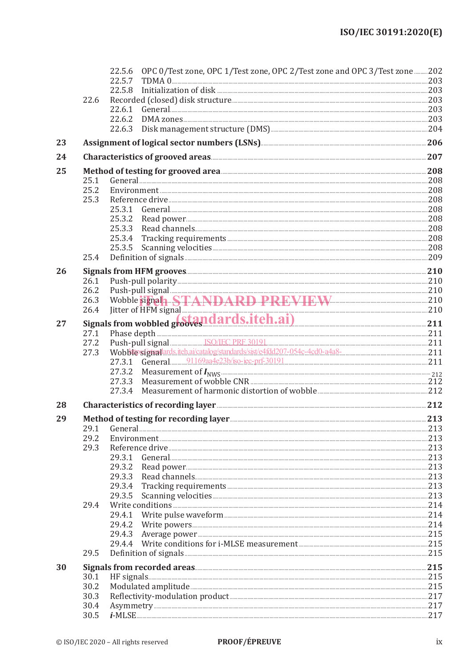|    |              | 22.5.6 OPC 0/Test zone, OPC 1/Test zone, OPC 2/Test zone and OPC 3/Test zone 202                                                                                                                                                    |      |  |  |  |  |  |
|----|--------------|-------------------------------------------------------------------------------------------------------------------------------------------------------------------------------------------------------------------------------------|------|--|--|--|--|--|
|    |              | 22.5.7                                                                                                                                                                                                                              |      |  |  |  |  |  |
|    |              | 22.5.8                                                                                                                                                                                                                              |      |  |  |  |  |  |
|    | 22.6         |                                                                                                                                                                                                                                     |      |  |  |  |  |  |
|    |              | 22.6.1                                                                                                                                                                                                                              |      |  |  |  |  |  |
|    |              | 22.6.2                                                                                                                                                                                                                              |      |  |  |  |  |  |
|    |              | 22.6.3                                                                                                                                                                                                                              |      |  |  |  |  |  |
| 23 |              |                                                                                                                                                                                                                                     |      |  |  |  |  |  |
| 24 |              |                                                                                                                                                                                                                                     |      |  |  |  |  |  |
| 25 |              | Method of testing for grooved area <b>Mathod</b> of testing for grooved area <b>Mathod</b> 208                                                                                                                                      |      |  |  |  |  |  |
|    | 25.1         | General 208 208                                                                                                                                                                                                                     |      |  |  |  |  |  |
|    | 25.2         |                                                                                                                                                                                                                                     |      |  |  |  |  |  |
|    | 25.3         |                                                                                                                                                                                                                                     |      |  |  |  |  |  |
|    |              |                                                                                                                                                                                                                                     |      |  |  |  |  |  |
|    |              | 25.3.2                                                                                                                                                                                                                              |      |  |  |  |  |  |
|    |              | 25.3.3                                                                                                                                                                                                                              |      |  |  |  |  |  |
|    |              | 25.3.4                                                                                                                                                                                                                              |      |  |  |  |  |  |
|    | 25.4         | 25.3.5                                                                                                                                                                                                                              |      |  |  |  |  |  |
|    |              |                                                                                                                                                                                                                                     |      |  |  |  |  |  |
| 26 |              |                                                                                                                                                                                                                                     |      |  |  |  |  |  |
|    | 26.1         |                                                                                                                                                                                                                                     |      |  |  |  |  |  |
|    | 26.2<br>26.3 | Push-pull signal<br>Wobble signala STANDARD PREVIEW 210                                                                                                                                                                             |      |  |  |  |  |  |
|    |              |                                                                                                                                                                                                                                     |      |  |  |  |  |  |
|    |              | 26.4 Jitter of HFM signal 210 and 21 and 21 and 210 and 210 signals from wobbled grows. 211                                                                                                                                         |      |  |  |  |  |  |
| 27 |              |                                                                                                                                                                                                                                     |      |  |  |  |  |  |
|    | 27.1         |                                                                                                                                                                                                                                     |      |  |  |  |  |  |
|    | 27.2<br>27.3 | Phase depth 211<br>Push-pull signal SO/IEC PRF 30191<br>Wobble signal and the aircration state of the aircration of the catalogic contract of the catalogic contract contract contract contract contract contract contract contract |      |  |  |  |  |  |
|    |              |                                                                                                                                                                                                                                     |      |  |  |  |  |  |
|    |              | 27.3.2                                                                                                                                                                                                                              |      |  |  |  |  |  |
|    |              | 27.3.3                                                                                                                                                                                                                              |      |  |  |  |  |  |
|    |              | 27.3.4                                                                                                                                                                                                                              |      |  |  |  |  |  |
| 28 |              | Characteristics of recording layer <b>Executive Service 212</b>                                                                                                                                                                     |      |  |  |  |  |  |
| 29 |              |                                                                                                                                                                                                                                     |      |  |  |  |  |  |
|    | 29.1         |                                                                                                                                                                                                                                     | .213 |  |  |  |  |  |
|    | 29.2         |                                                                                                                                                                                                                                     |      |  |  |  |  |  |
|    | 29.3         |                                                                                                                                                                                                                                     |      |  |  |  |  |  |
|    |              | 29.3.1                                                                                                                                                                                                                              |      |  |  |  |  |  |
|    |              | 29.3.2                                                                                                                                                                                                                              |      |  |  |  |  |  |
|    |              | 29.3.3                                                                                                                                                                                                                              |      |  |  |  |  |  |
|    |              | 29.3.4                                                                                                                                                                                                                              |      |  |  |  |  |  |
|    |              | 29.3.5                                                                                                                                                                                                                              |      |  |  |  |  |  |
|    | 29.4         |                                                                                                                                                                                                                                     |      |  |  |  |  |  |
|    |              | 29.4.1                                                                                                                                                                                                                              |      |  |  |  |  |  |
|    |              | 29.4.2                                                                                                                                                                                                                              |      |  |  |  |  |  |
|    |              | 29.4.3                                                                                                                                                                                                                              |      |  |  |  |  |  |
|    |              | 29.4.4                                                                                                                                                                                                                              |      |  |  |  |  |  |
|    | 29.5         |                                                                                                                                                                                                                                     |      |  |  |  |  |  |
| 30 |              |                                                                                                                                                                                                                                     |      |  |  |  |  |  |
|    | 30.1         | HF signals. 215                                                                                                                                                                                                                     |      |  |  |  |  |  |
|    | 30.2<br>30.3 |                                                                                                                                                                                                                                     |      |  |  |  |  |  |
|    | 30.4         |                                                                                                                                                                                                                                     |      |  |  |  |  |  |
|    | 30.5         |                                                                                                                                                                                                                                     |      |  |  |  |  |  |
|    |              |                                                                                                                                                                                                                                     |      |  |  |  |  |  |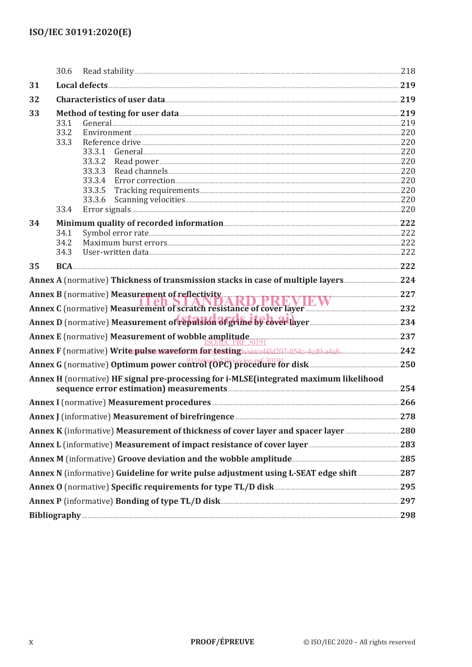|                                                                                                                         | 30.6                         |                                                                                                                                                                                                            |  |  |
|-------------------------------------------------------------------------------------------------------------------------|------------------------------|------------------------------------------------------------------------------------------------------------------------------------------------------------------------------------------------------------|--|--|
| 31                                                                                                                      |                              |                                                                                                                                                                                                            |  |  |
| 32                                                                                                                      |                              | Characteristics of user data 219                                                                                                                                                                           |  |  |
| 33                                                                                                                      | 33.1<br>33.2<br>33.3         | Method of testing for user data <b>Method</b> of testing for user data <b>Method</b> of testing for user data <b>Method</b><br>General 219 219<br>33.3.1<br>33.3.2<br>33.3.3<br>33.3.4<br>33.3.5<br>33.3.6 |  |  |
| 34                                                                                                                      | 33.4<br>34.1<br>34.2<br>34.3 |                                                                                                                                                                                                            |  |  |
| 35                                                                                                                      |                              |                                                                                                                                                                                                            |  |  |
|                                                                                                                         |                              |                                                                                                                                                                                                            |  |  |
|                                                                                                                         |                              |                                                                                                                                                                                                            |  |  |
| Annex B (normative) Measurement of reflectivity<br>Annex C (normative) Measurement of scratch resistance of cover layer |                              |                                                                                                                                                                                                            |  |  |
| Annex D (normative) Measurement of republica digrime by cover layer                                                     |                              |                                                                                                                                                                                                            |  |  |
|                                                                                                                         |                              | Annex E (normative) Measurement of wobble amplitude SONEC PRF 30191                                                                                                                                        |  |  |
|                                                                                                                         |                              |                                                                                                                                                                                                            |  |  |
|                                                                                                                         |                              | Annex G (normative) Optimum power control (OPC) procedure for disk                                                                                                                                         |  |  |
|                                                                                                                         |                              | Annex H (normative) HF signal pre-processing for i-MLSE(integrated maximum likelihood<br>sequence error estimation) measurements <b>Example 254</b>                                                        |  |  |
|                                                                                                                         |                              | Annex I (normative) Measurement procedures <b>Engineeral Annex I</b> (normative) 266                                                                                                                       |  |  |
|                                                                                                                         |                              | Annex J (informative) Measurement of birefringence <b>Manual Annex J</b> (informative) 278                                                                                                                 |  |  |
|                                                                                                                         |                              |                                                                                                                                                                                                            |  |  |
|                                                                                                                         |                              |                                                                                                                                                                                                            |  |  |
|                                                                                                                         |                              | Annex M (informative) Groove deviation and the wobble amplitude <b>measures and the vert</b> 285                                                                                                           |  |  |
| Annex N (informative) Guideline for write pulse adjustment using L-SEAT edge shift  287                                 |                              |                                                                                                                                                                                                            |  |  |
| Annex O (normative) Specific requirements for type TL/D disk <b>Manual Club and Section</b> 295                         |                              |                                                                                                                                                                                                            |  |  |
| Annex P (informative) Bonding of type TL/D disk <b>Manufacture 2018</b> 297                                             |                              |                                                                                                                                                                                                            |  |  |
|                                                                                                                         |                              | Bibliography 298                                                                                                                                                                                           |  |  |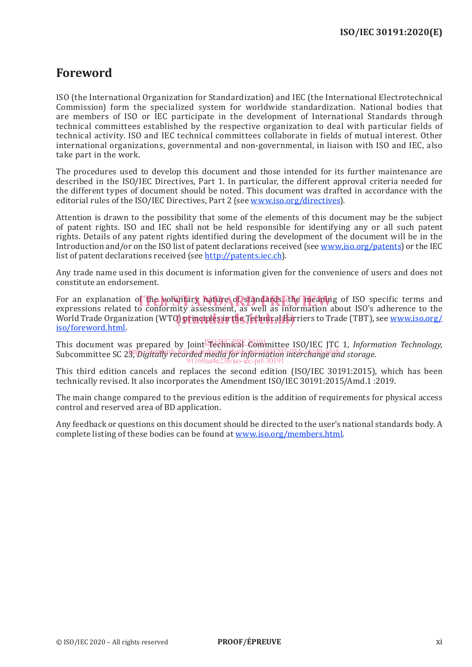## **Foreword**

ISO (the International Organization for Standardization) and IEC (the International Electrotechnical Commission) form the specialized system for worldwide standardization. National bodies that are members of ISO or IEC participate in the development of International Standards through technical committees established by the respective organization to deal with particular fields of technical activity. ISO and IEC technical committees collaborate in fields of mutual interest. Other international organizations, governmental and non-governmental, in liaison with ISO and IEC, also take part in the work.

The procedures used to develop this document and those intended for its further maintenance are described in the ISO/IEC Directives, Part 1. In particular, the different approval criteria needed for the different types of document should be noted. This document was drafted in accordance with the editorial rules of the ISO/IEC Directives, Part 2 (see www.iso.org/directives).

Attention is drawn to the possibility that some of the elements of this document may be the subject of patent rights. ISO and IEC shall not be held responsible for identifying any or all such patent rights. Details of any patent rights identified during the development of the document will be in the Introduction and/or on the ISO list of patent declarations received (see www.iso.org/patents) or the IEC list of patent declarations received (see http://patents.iec.ch).

Any trade name used in this document is information given for the convenience of users and does not constitute an endorsement.

For an explanation of the voluntary nature of standards, the meaning of ISO specific terms and<br>expressions related to conformity assessment, as well as information about ISO's adherence to the expressions related to conformity assessment, as well as information about ISO's adherence to the enpressions related to comormity discussioning to well as information assat loss admirante to the<br>World Trade Organization (WTO) principles in the Technical Barriers to Trade (TBT), see www.iso.org/ iso/foreword.html.

This document was prepared by Joint Technical Committee ISO/IEC JTC 1, *Information Technology*, subcommittee SC 23, *Digitally recorded media for information interchange and storage*. 91169aa4e23b/iso-iec-prf-30191

This third edition cancels and replaces the second edition (ISO/IEC 30191:2015), which has been technically revised. It also incorporates the Amendment ISO/IEC 30191:2015/Amd.1 :2019.

The main change compared to the previous edition is the addition of requirements for physical access control and reserved area of BD application.

Any feedback or questions on this document should be directed to the user's national standards body. A complete listing of these bodies can be found at www.iso.org/members.html.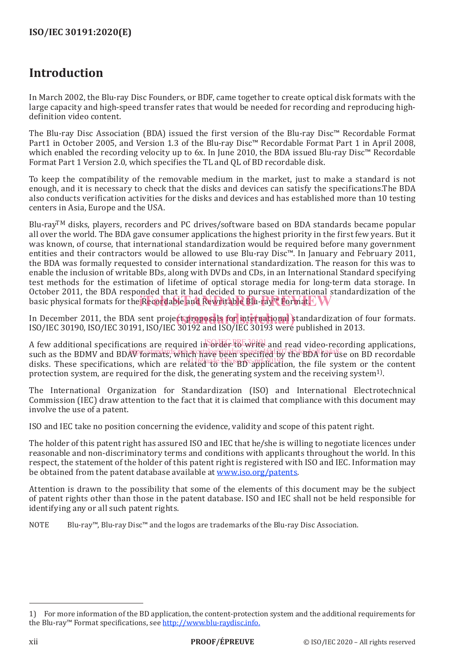## **Introduction**

In March 2002, the Blu-ray Disc Founders, or BDF, came together to create optical disk formats with the large capacity and high-speed transfer rates that would be needed for recording and reproducing highdefinition video content.

The Blu-ray Disc Association (BDA) issued the first version of the Blu-ray Disc™ Recordable Format Part1 in October 2005, and Version 1.3 of the Blu-ray Disc™ Recordable Format Part 1 in April 2008, which enabled the recording velocity up to 6x. In June 2010, the BDA issued Blu-ray Disc™ Recordable Format Part 1 Version 2.0, which specifies the TL and QL of BD recordable disk.

To keep the compatibility of the removable medium in the market, just to make a standard is not enough, and it is necessary to check that the disks and devices can satisfy the specifications.The BDA also conducts verification activities for the disks and devices and has established more than 10 testing centers in Asia, Europe and the USA.

Blu-ray<sup>TM</sup> disks, players, recorders and PC drives/software based on BDA standards became popular all over the world. The BDA gave consumer applications the highest priority in the first few years. But it was known, of course, that international standardization would be required before many government entities and their contractors would be allowed to use Blu-ray Disc™. In January and February 2011, the BDA was formally requested to consider international standardization. The reason for this was to enable the inclusion of writable BDs, along with DVDs and CDs, in an International Standard specifying test methods for the estimation of lifetime of optical storage media for long-term data storage. In October 2011, the BDA responded that it had decided to pursue international standardization of the basic physical formats for the Recordable and Rewritable Blu-ray™ Format. I

In December 2011, the BDA sent project proposals for international standardization of four formats.<br>ISO (IEC 20100, ISO (IEC 20101, ISO (IEC 20102 and ISO (IEC 20102 were published in 2012) ISO/IEC 30190, ISO/IEC 30191, ISO/IEC 30192 and ISO/IEC 30193 were published in 2013.

A few additional specifications are required in  $\frac{1}{2}$  order to write and read video-recording applications, such as the BDMV and BDAV formats, which have been specified by the BDA for use on BD recordable disks. These specifications, which are related to the BD application, the file system or the content protection system, are required for the disk, the generating system and the receiving system1).

The International Organization for Standardization (ISO) and International Electrotechnical Commission (IEC) draw attention to the fact that it is claimed that compliance with this document may involve the use of a patent.

ISO and IEC take no position concerning the evidence, validity and scope of this patent right.

The holder of this patent right has assured ISO and IEC that he/she is willing to negotiate licences under reasonable and non-discriminatory terms and conditions with applicants throughout the world. In this respect, the statement of the holder of this patent right is registered with ISO and IEC. Information may be obtained from the patent database available at www.iso.org/patents.

Attention is drawn to the possibility that some of the elements of this document may be the subject of patent rights other than those in the patent database. ISO and IEC shall not be held responsible for identifying any or all such patent rights.

NOTE Blu-ray™, Blu-ray Disc™ and the logos are trademarks of the Blu-ray Disc Association.

<sup>1)</sup> For more information of the BD application, the content-protection system and the additional requirements for the Blu-ray™ Format specifications, see http://www.blu-raydisc.info.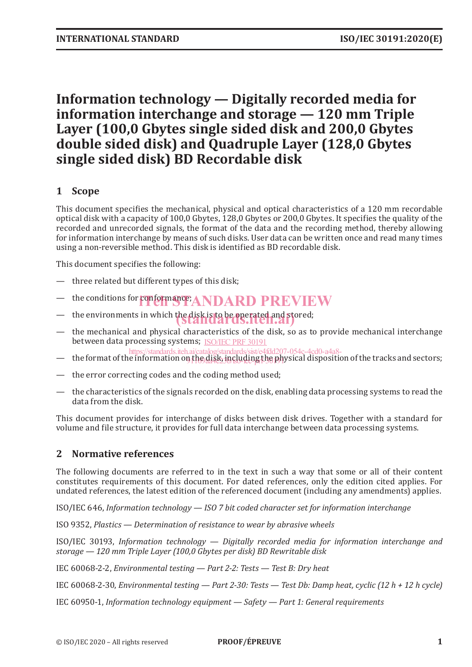## **Information technology — Digitally recorded media for information interchange and storage — 120 mm Triple Layer (100,0 Gbytes single sided disk and 200,0 Gbytes double sided disk) and Quadruple Layer (128,0 Gbytes single sided disk) BD Recordable disk**

## **1 Scope**

This document specifies the mechanical, physical and optical characteristics of a 120 mm recordable optical disk with a capacity of 100,0 Gbytes, 128,0 Gbytes or 200,0 Gbytes. It specifies the quality of the recorded and unrecorded signals, the format of the data and the recording method, thereby allowing for information interchange by means of such disks. User data can be written once and read many times using a non-reversible method. This disk is identified as BD recordable disk.

This document specifies the following:

- three related but different types of this disk;
- the conditions for conformance; ANDARD PREVIEW
- the environments in which the disk is to be operated and stored;
- the mechanical and physical characteristics of the disk, so as to provide mechanical interchange between data processing systems; ISO/IEC PRF 30191
- the format of the information on the disk, including the physical disposition of the tracks and sectors; https://standards.iteh.ai/catalog/standards/sist/e4fdd207-054c-4cd0-a4a8-
- the error correcting codes and the coding method used;
- the characteristics of the signals recorded on the disk, enabling data processing systems to read the data from the disk.

This document provides for interchange of disks between disk drives. Together with a standard for volume and file structure, it provides for full data interchange between data processing systems.

#### **2 Normative references**

The following documents are referred to in the text in such a way that some or all of their content constitutes requirements of this document. For dated references, only the edition cited applies. For undated references, the latest edition of the referenced document (including any amendments) applies.

ISO/IEC 646, *Information technology — ISO 7 bit coded character set for information interchange*

ISO 9352, *Plastics — Determination of resistance to wear by abrasive wheels*

ISO/IEC 30193, *Information technology — Digitally recorded media for information interchange and storage — 120 mm Triple Layer (100,0 Gbytes per disk) BD Rewritable disk*

IEC 60068-2-2, *Environmental testing — Part 2-2: Tests — Test B: Dry heat*

IEC 60068-2-30, *Environmental testing — Part 2-30: Tests — Test Db: Damp heat, cyclic (12 h + 12 h cycle)*

IEC 60950-1, *Information technology equipment — Safety — Part 1: General requirements*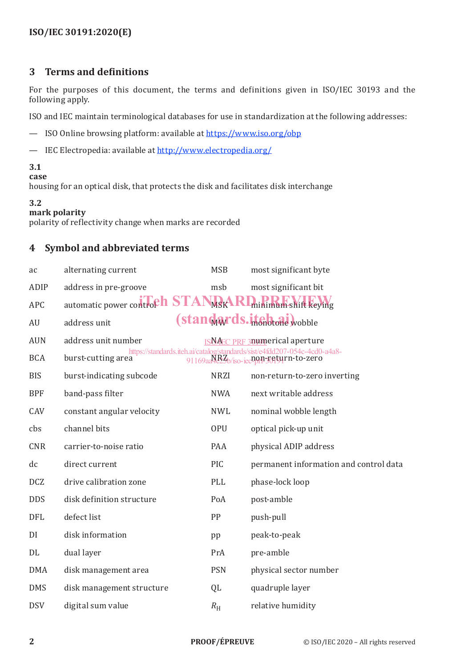#### **3 Terms and definitions**

For the purposes of this document, the terms and definitions given in ISO/IEC 30193 and the following apply.

ISO and IEC maintain terminological databases for use in standardization at the following addresses:

- ISO Online browsing platform: available at https://www.iso.org/obp
- IEC Electropedia: available at http://www.electropedia.org/

#### **3.1**

#### **case**

housing for an optical disk, that protects the disk and facilitates disk interchange

#### **3.2**

#### **mark polarity**

polarity of reflectivity change when marks are recorded

#### **4 Symbol and abbreviated terms**

| ac         | alternating current           | <b>MSB</b>  | most significant byte                                                                                                                                     |
|------------|-------------------------------|-------------|-----------------------------------------------------------------------------------------------------------------------------------------------------------|
| ADIP       | address in pre-groove         | msb         | most significant bit                                                                                                                                      |
| <b>APC</b> | automatic power controph STAI | MSK         | <b>RI</b> minimum shift keying                                                                                                                            |
| AU         | address unit                  |             | (standards.itchtone wobble                                                                                                                                |
| <b>AUN</b> | address unit number           |             | <b>ISNAEC PRE 30 umerical aperture</b>                                                                                                                    |
| <b>BCA</b> | burst-cutting area            |             | https://standards.iteh.ai/catalog/standards/sist/e4fdd207-054c-4cd0-a4a8-<br>91169aa <sup>N</sup> R <sub>2</sub> b/ <sub>iso-iec</sub> non-return-to-zero |
| <b>BIS</b> | burst-indicating subcode      | <b>NRZI</b> | non-return-to-zero inverting                                                                                                                              |
| <b>BPF</b> | band-pass filter              | <b>NWA</b>  | next writable address                                                                                                                                     |
| CAV        | constant angular velocity     | <b>NWL</b>  | nominal wobble length                                                                                                                                     |
| cbs        | channel bits                  | <b>OPU</b>  | optical pick-up unit                                                                                                                                      |
| <b>CNR</b> | carrier-to-noise ratio        | PAA         | physical ADIP address                                                                                                                                     |
| dc         | direct current                | PIC         | permanent information and control data                                                                                                                    |
| <b>DCZ</b> | drive calibration zone        | PLL         | phase-lock loop                                                                                                                                           |
| <b>DDS</b> | disk definition structure     | PoA         | post-amble                                                                                                                                                |
| <b>DFL</b> | defect list                   | PP          | push-pull                                                                                                                                                 |
| DI         | disk information              | pp          | peak-to-peak                                                                                                                                              |
| DL         | dual layer                    | PrA         | pre-amble                                                                                                                                                 |
| <b>DMA</b> | disk management area          | <b>PSN</b>  | physical sector number                                                                                                                                    |
| <b>DMS</b> | disk management structure     | QL          | quadruple layer                                                                                                                                           |
| <b>DSV</b> | digital sum value             | $R_{\rm H}$ | relative humidity                                                                                                                                         |